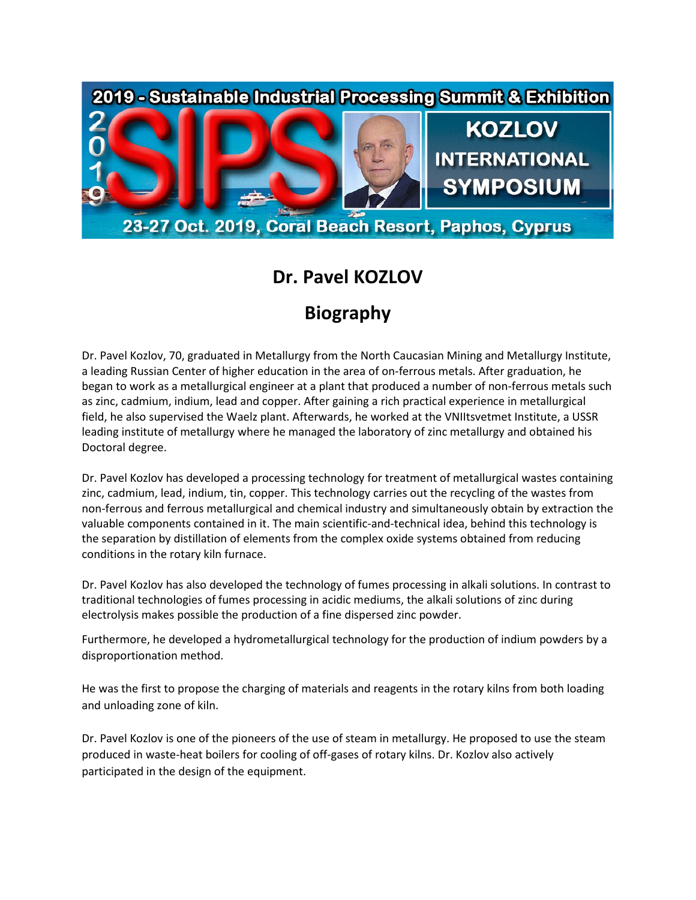

## **Dr. Pavel KOZLOV**

## **Biography**

Dr. Pavel Kozlov, 70, graduated in Metallurgy from the North Caucasian Mining and Metallurgy Institute, a leading Russian Center of higher education in the area of on-ferrous metals. After graduation, he began to work as a metallurgical engineer at a plant that produced a number of non-ferrous metals such as zinc, cadmium, indium, lead and copper. After gaining a rich practical experience in metallurgical field, he also supervised the Waelz plant. Afterwards, he worked at the VNIItsvetmet Institute, a USSR leading institute of metallurgy where he managed the laboratory of zinc metallurgy and obtained his Doctoral degree.

Dr. Pavel Kozlov has developed a processing technology for treatment of metallurgical wastes containing zinc, cadmium, lead, indium, tin, copper. This technology carries out the recycling of the wastes from non-ferrous and ferrous metallurgical and chemical industry and simultaneously obtain by extraction the valuable components contained in it. The main scientific-and-technical idea, behind this technology is the separation by distillation of elements from the complex oxide systems obtained from reducing conditions in the rotary kiln furnace.

Dr. Pavel Kozlov has also developed the technology of fumes processing in alkali solutions. In contrast to traditional technologies of fumes processing in acidic mediums, the alkali solutions of zinc during electrolysis makes possible the production of a fine dispersed zinc powder.

Furthermore, he developed a hydrometallurgical technology for the production of indium powders by a disproportionation method.

He was the first to propose the charging of materials and reagents in the rotary kilns from both loading and unloading zone of kiln.

Dr. Pavel Kozlov is one of the pioneers of the use of steam in metallurgy. He proposed to use the steam produced in waste-heat boilers for cooling of off-gases of rotary kilns. Dr. Kozlov also actively participated in the design of the equipment.